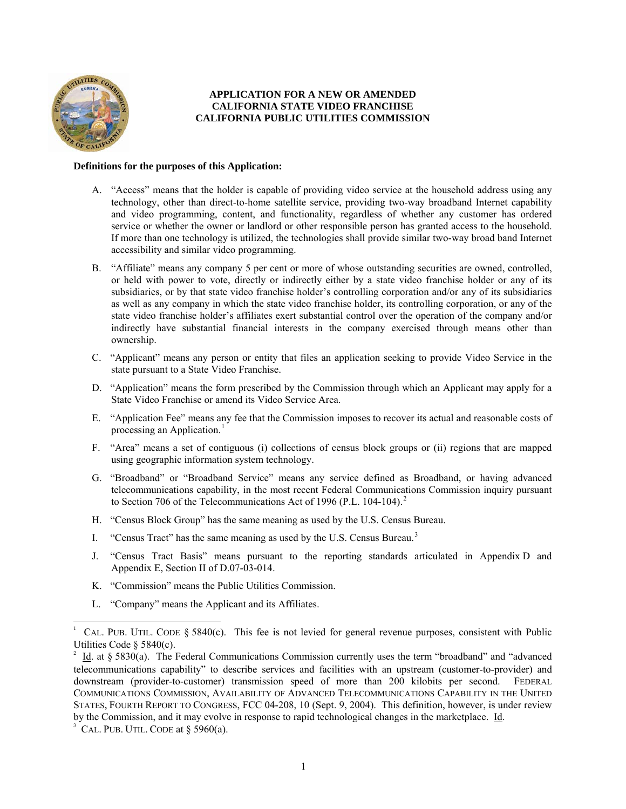

# **APPLICATION FOR A NEW OR AMENDED CALIFORNIA STATE VIDEO FRANCHISE CALIFORNIA PUBLIC UTILITIES COMMISSION**

## **Definitions for the purposes of this Application:**

- A. "Access" means that the holder is capable of providing video service at the household address using any technology, other than direct-to-home satellite service, providing two-way broadband Internet capability and video programming, content, and functionality, regardless of whether any customer has ordered service or whether the owner or landlord or other responsible person has granted access to the household. If more than one technology is utilized, the technologies shall provide similar two-way broad band Internet accessibility and similar video programming.
- B. "Affiliate" means any company 5 per cent or more of whose outstanding securities are owned, controlled, or held with power to vote, directly or indirectly either by a state video franchise holder or any of its subsidiaries, or by that state video franchise holder's controlling corporation and/or any of its subsidiaries as well as any company in which the state video franchise holder, its controlling corporation, or any of the state video franchise holder's affiliates exert substantial control over the operation of the company and/or indirectly have substantial financial interests in the company exercised through means other than ownership.
- C. "Applicant" means any person or entity that files an application seeking to provide Video Service in the state pursuant to a State Video Franchise.
- D. "Application" means the form prescribed by the Commission through which an Applicant may apply for a State Video Franchise or amend its Video Service Area.
- E. "Application Fee" means any fee that the Commission imposes to recover its actual and reasonable costs of processing an Application.<sup>[1](#page-0-0)</sup>
- F. "Area" means a set of contiguous (i) collections of census block groups or (ii) regions that are mapped using geographic information system technology.
- G. "Broadband" or "Broadband Service" means any service defined as Broadband, or having advanced telecommunications capability, in the most recent Federal Communications Commission inquiry pursuant to Section 706 of the Telecommunications Act of 1996 (P.L. 104-104).<sup>[2](#page-0-1)</sup>
- H. "Census Block Group" has the same meaning as used by the U.S. Census Bureau.
- I. "Census Tract" has the same meaning as used by the U.S. Census Bureau.<sup>[3](#page-0-2)</sup>
- J. "Census Tract Basis" means pursuant to the reporting standards articulated in Appendix D and Appendix E, Section II of D.07-03-014.
- K. "Commission" means the Public Utilities Commission.
- L. "Company" means the Applicant and its Affiliates.

 $\overline{a}$ 

<span id="page-0-0"></span><sup>1</sup> CAL. PUB. UTIL. CODE  $\S$  5840(c). This fee is not levied for general revenue purposes, consistent with Public Utilities Code § 5840(c).

<span id="page-0-1"></span><sup>2</sup> Id. at § 5830(a). The Federal Communications Commission currently uses the term "broadband" and "advanced telecommunications capability" to describe services and facilities with an upstream (customer-to-provider) and downstream (provider-to-customer) transmission speed of more than 200 kilobits per second. FEDERAL COMMUNICATIONS COMMISSION, AVAILABILITY OF ADVANCED TELECOMMUNICATIONS CAPABILITY IN THE UNITED STATES, FOURTH REPORT TO CONGRESS, FCC 04-208, 10 (Sept. 9, 2004). This definition, however, is under review by the Commission, and it may evolve in response to rapid technological changes in the marketplace. Id.

<span id="page-0-2"></span> $3$  CAL. PUB. UTIL. CODE at  $\S$  5960(a).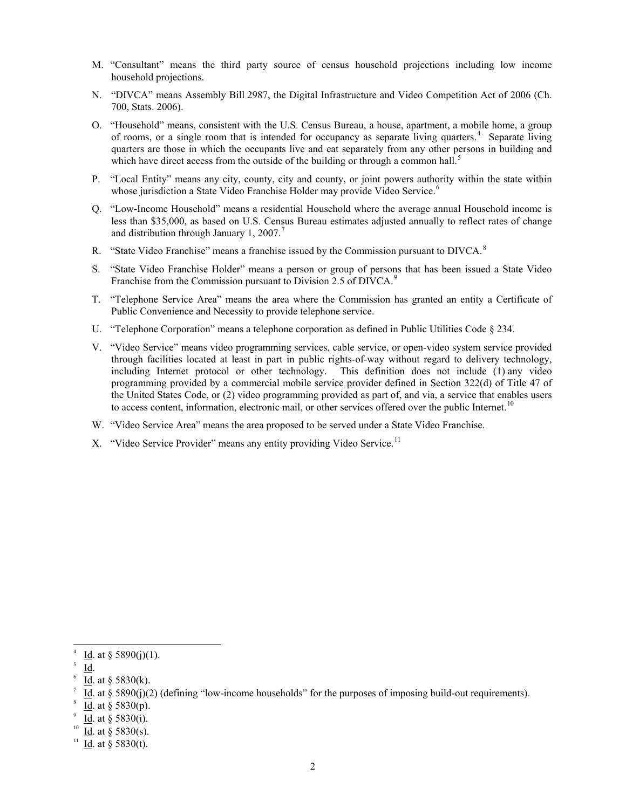- M. "Consultant" means the third party source of census household projections including low income household projections.
- N. "DIVCA" means Assembly Bill 2987, the Digital Infrastructure and Video Competition Act of 2006 (Ch. 700, Stats. 2006).
- O. "Household" means, consistent with the U.S. Census Bureau, a house, apartment, a mobile home, a group of rooms, or a single room that is intended for occupancy as separate living quarters.<sup>[4](#page-1-0)</sup> Separate living quarters are those in which the occupants live and eat separately from any other persons in building and which have direct access from the outside of the building or through a common hall.<sup>[5](#page-1-1)</sup>
- P. "Local Entity" means any city, county, city and county, or joint powers authority within the state within whose jurisdiction a State Video Franchise Holder may provide Video Service.<sup>[6](#page-1-2)</sup>
- Q. "Low-Income Household" means a residential Household where the average annual Household income is less than \$35,000, as based on U.S. Census Bureau estimates adjusted annually to reflect rates of change and distribution through January 1, 200[7](#page-1-3).<sup>7</sup>
- R. "State Video Franchise" means a franchise issued by the Commission pursuant to  $DIVCA$ <sup>[8](#page-1-4)</sup>
- S. "State Video Franchise Holder" means a person or group of persons that has been issued a State Video Franchise from the Commission pursuant to Division 2.5 of DIVCA.<sup>[9](#page-1-5)</sup>
- T. "Telephone Service Area" means the area where the Commission has granted an entity a Certificate of Public Convenience and Necessity to provide telephone service.
- U. "Telephone Corporation" means a telephone corporation as defined in Public Utilities Code § 234.
- V. "Video Service" means video programming services, cable service, or open-video system service provided through facilities located at least in part in public rights-of-way without regard to delivery technology, including Internet protocol or other technology. This definition does not include (1) any video programming provided by a commercial mobile service provider defined in Section 322(d) of Title 47 of the United States Code, or (2) video programming provided as part of, and via, a service that enables users to access content, information, electronic mail, or other services offered over the public Internet.<sup>[10](#page-1-6)</sup>
- W. "Video Service Area" means the area proposed to be served under a State Video Franchise.
- X. "Video Service Provider" means any entity providing Video Service.<sup>[11](#page-1-7)</sup>

5 Id.

 $\overline{a}$ 

<span id="page-1-1"></span><span id="page-1-0"></span><sup>4</sup> Id. at  $\S 5890(j)(1)$ .

<span id="page-1-2"></span><sup>6</sup> Id. at § 5830(k).

<span id="page-1-3"></span><sup>7</sup> Id. at § 5890(j)(2) (defining "low-income households" for the purposes of imposing build-out requirements).

<span id="page-1-4"></span><sup>8</sup> Id. at § 5830(p).

<span id="page-1-5"></span><sup>9</sup> Id. at § 5830(i).

<span id="page-1-6"></span>Id. at  $§$  5830(s).

<span id="page-1-7"></span><sup>&</sup>lt;sup>11</sup> Id. at § 5830(t).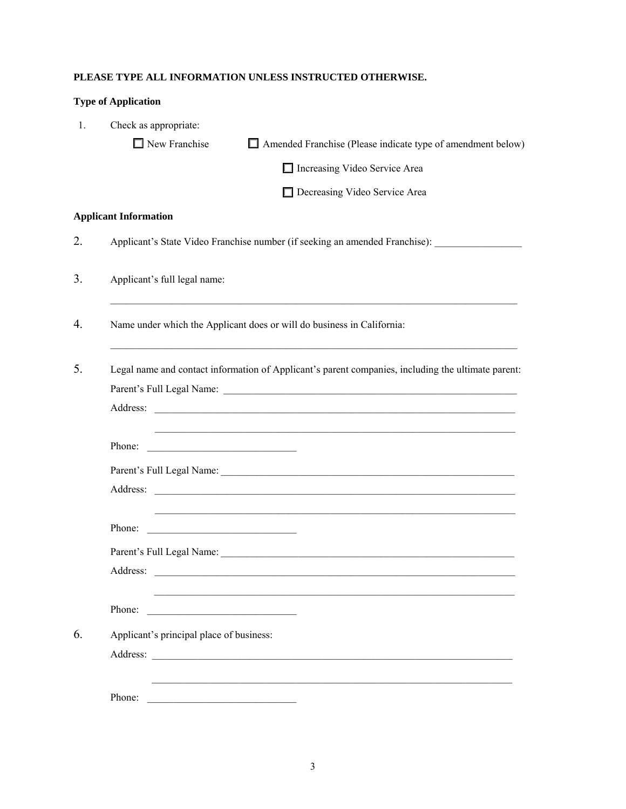# **PLEASE TYPE ALL INFORMATION UNLESS INSTRUCTED OTHERWISE.**

|                | <b>Type of Application</b>                                                                                                                                                                                                                     |                                                                                                                                                                                                                                |
|----------------|------------------------------------------------------------------------------------------------------------------------------------------------------------------------------------------------------------------------------------------------|--------------------------------------------------------------------------------------------------------------------------------------------------------------------------------------------------------------------------------|
| $\mathbf{1}$ . | Check as appropriate:                                                                                                                                                                                                                          |                                                                                                                                                                                                                                |
|                | $\Box$ New Franchise                                                                                                                                                                                                                           | $\Box$ Amended Franchise (Please indicate type of amendment below)                                                                                                                                                             |
|                |                                                                                                                                                                                                                                                | Increasing Video Service Area                                                                                                                                                                                                  |
|                |                                                                                                                                                                                                                                                | Decreasing Video Service Area                                                                                                                                                                                                  |
|                | <b>Applicant Information</b>                                                                                                                                                                                                                   |                                                                                                                                                                                                                                |
| 2.             |                                                                                                                                                                                                                                                | Applicant's State Video Franchise number (if seeking an amended Franchise):                                                                                                                                                    |
| 3.             | Applicant's full legal name:                                                                                                                                                                                                                   |                                                                                                                                                                                                                                |
| 4.             |                                                                                                                                                                                                                                                | Name under which the Applicant does or will do business in California:                                                                                                                                                         |
| 5.             | Address:                                                                                                                                                                                                                                       | Legal name and contact information of Applicant's parent companies, including the ultimate parent:<br><u> 1989 - Andrea Stadt Britain, amerikansk politik (d. 1989)</u>                                                        |
|                | Phone:<br><u> 1989 - Johann Harry Harry Harry Harry Harry Harry Harry Harry Harry Harry Harry Harry Harry Harry Harry Harry Harry Harry Harry Harry Harry Harry Harry Harry Harry Harry Harry Harry Harry Harry Harry Harry Harry Harry Ha</u> |                                                                                                                                                                                                                                |
|                |                                                                                                                                                                                                                                                | Parent's Full Legal Name: New York 1988. The Second Second Second Second Second Second Second Second Second Second Second Second Second Second Second Second Second Second Second Second Second Second Second Second Second Se |
|                | Address:                                                                                                                                                                                                                                       | <u> 1989 - Johann Harry Barn, mars and deutscher Stadt and deutscher Stadt and deutscher Stadt and deutscher Stadt</u>                                                                                                         |
|                | Phone:<br><u> 1989 - Johann John Stone, mars eta bat eta bat eta bat eta bat ez arteko hamarka</u>                                                                                                                                             |                                                                                                                                                                                                                                |
|                | Parent's Full Legal Name:                                                                                                                                                                                                                      |                                                                                                                                                                                                                                |
|                | Address:                                                                                                                                                                                                                                       | <u> 1980 - Jan Barbara Barat, martin da kasar A</u>                                                                                                                                                                            |
|                | Phone:<br><u> 1989 - Johann Barn, fransk politik (d. 1989)</u>                                                                                                                                                                                 |                                                                                                                                                                                                                                |
| 6.             | Applicant's principal place of business:                                                                                                                                                                                                       |                                                                                                                                                                                                                                |
|                |                                                                                                                                                                                                                                                | Address:                                                                                                                                                                                                                       |
|                | Phone:                                                                                                                                                                                                                                         |                                                                                                                                                                                                                                |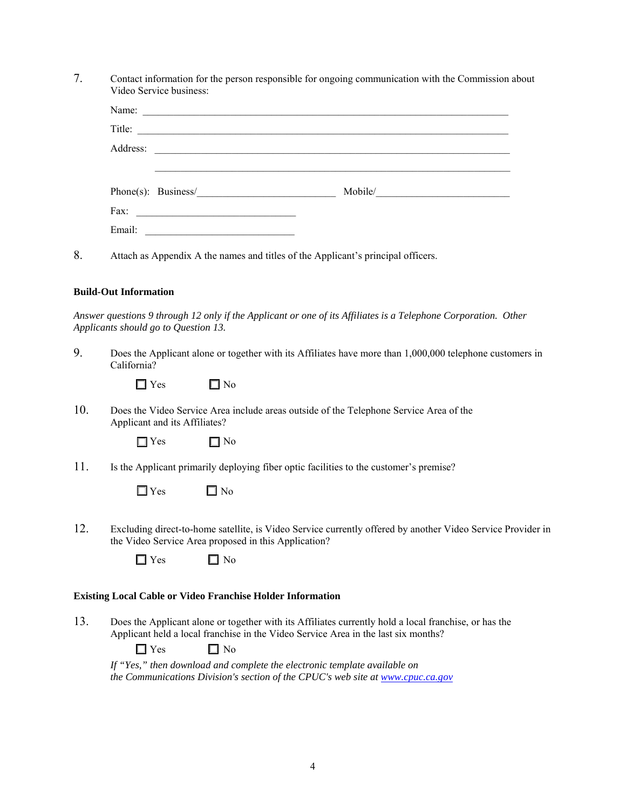7. Contact information for the person responsible for ongoing communication with the Commission about Video Service business:

| Title:                                                                                                                |
|-----------------------------------------------------------------------------------------------------------------------|
|                                                                                                                       |
|                                                                                                                       |
| $Phone(s):$ Business/<br>Mobile/                                                                                      |
| <u> 1980 - Johann Barn, mars ann an t-Amhain an t-Amhain an t-Amhain an t-Amhain an t-Amhain an t-Amhain an t-Amh</u> |
|                                                                                                                       |
|                                                                                                                       |

8. Attach as Appendix A the names and titles of the Applicant's principal officers.

#### **Build-Out Information**

*Answer questions 9 through 12 only if the Applicant or one of its Affiliates is a Telephone Corporation. Other Applicants should go to Question 13.* 

9. Does the Applicant alone or together with its Affiliates have more than 1,000,000 telephone customers in California?

| $\Box$ Yes | $\square$ No |
|------------|--------------|
|------------|--------------|

10. Does the Video Service Area include areas outside of the Telephone Service Area of the Applicant and its Affiliates?

|  | $\gamma$ Yes |  | ] No |
|--|--------------|--|------|
|--|--------------|--|------|

11. Is the Applicant primarily deploying fiber optic facilities to the customer's premise?

12. Excluding direct-to-home satellite, is Video Service currently offered by another Video Service Provider in the Video Service Area proposed in this Application?

| I Yes |  | No |
|-------|--|----|
|-------|--|----|

# **Existing Local Cable or Video Franchise Holder Information**

13. Does the Applicant alone or together with its Affiliates currently hold a local franchise, or has the Applicant held a local franchise in the Video Service Area in the last six months?

 $\Box$  Yes  $\Box$  No

 *If "Yes," then download and complete the electronic template available on the Communications Division's section of the CPUC's web site at [www.cpuc.ca.gov](http://www.cpuc.ca.gov/)*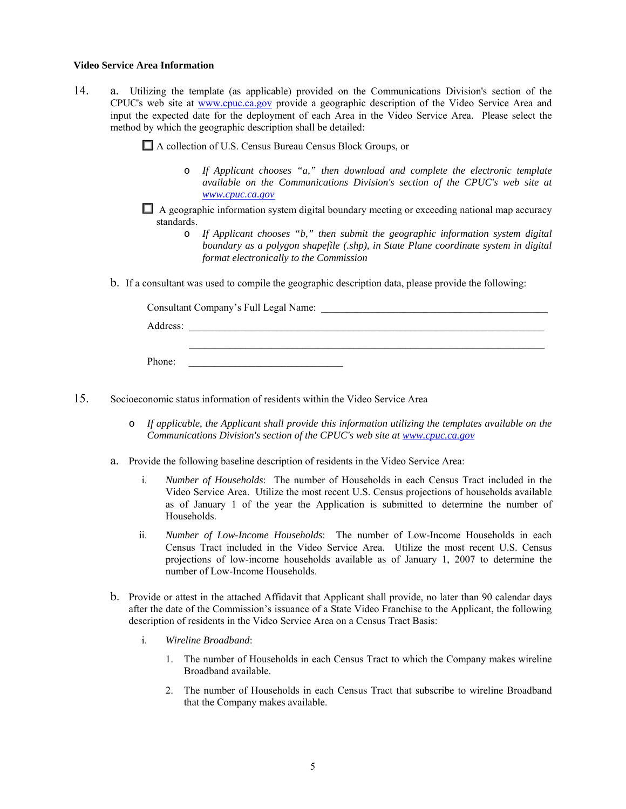#### **Video Service Area Information**

14. a. Utilizing the template (as applicable) provided on the Communications Division's section of the CPUC's web site at [www.cpuc.ca.gov](http://www.cpuc.ca.gov/) provide a geographic description of the Video Service Area and input the expected date for the deployment of each Area in the Video Service Area. Please select the method by which the geographic description shall be detailed:

A collection of U.S. Census Bureau Census Block Groups, or

- o *If Applicant chooses "a," then download and complete the electronic template available on the Communications Division's section of the CPUC's web site at [www.cpuc.ca.gov](http://www.cpuc.ca.gov/)*
- $\Box$  A geographic information system digital boundary meeting or exceeding national map accuracy standards.
	- o *If Applicant chooses "b," then submit the geographic information system digital boundary as a polygon shapefile (.shp), in State Plane coordinate system in digital format electronically to the Commission*
- b. If a consultant was used to compile the geographic description data, please provide the following:

|          | Consultant Company's Full Legal Name: |
|----------|---------------------------------------|
| Address: |                                       |
|          |                                       |
| Phone:   |                                       |

15. Socioeconomic status information of residents within the Video Service Area

- o *If applicable, the Applicant shall provide this information utilizing the templates available on the Communications Division's section of the CPUC's web site at [www.cpuc.ca.gov](http://www.cpuc.ca.gov/)*
- a. Provide the following baseline description of residents in the Video Service Area:
	- i. *Number of Households*: The number of Households in each Census Tract included in the Video Service Area. Utilize the most recent U.S. Census projections of households available as of January 1 of the year the Application is submitted to determine the number of Households.
	- ii. *Number of Low-Income Households*: The number of Low-Income Households in each Census Tract included in the Video Service Area. Utilize the most recent U.S. Census projections of low-income households available as of January 1, 2007 to determine the number of Low-Income Households.
- b. Provide or attest in the attached Affidavit that Applicant shall provide, no later than 90 calendar days after the date of the Commission's issuance of a State Video Franchise to the Applicant, the following description of residents in the Video Service Area on a Census Tract Basis:
	- i. *Wireline Broadband*:
		- 1. The number of Households in each Census Tract to which the Company makes wireline Broadband available.
		- 2. The number of Households in each Census Tract that subscribe to wireline Broadband that the Company makes available.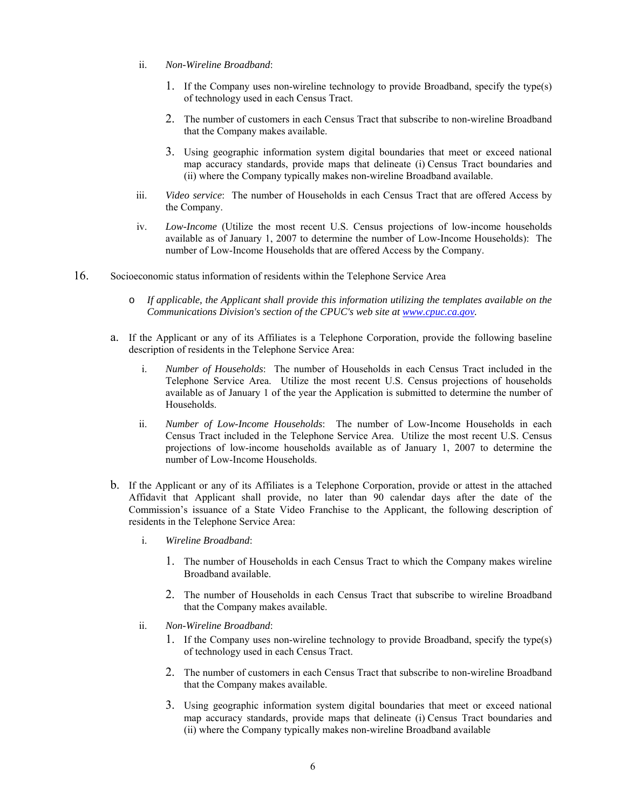- ii. *Non-Wireline Broadband*:
	- 1. If the Company uses non-wireline technology to provide Broadband, specify the type(s) of technology used in each Census Tract.
	- 2. The number of customers in each Census Tract that subscribe to non-wireline Broadband that the Company makes available.
	- 3. Using geographic information system digital boundaries that meet or exceed national map accuracy standards, provide maps that delineate (i) Census Tract boundaries and (ii) where the Company typically makes non-wireline Broadband available.
- iii. *Video service*: The number of Households in each Census Tract that are offered Access by the Company.
- iv. *Low-Income* (Utilize the most recent U.S. Census projections of low-income households available as of January 1, 2007 to determine the number of Low-Income Households): The number of Low-Income Households that are offered Access by the Company.
- 16. Socioeconomic status information of residents within the Telephone Service Area
	- o *If applicable, the Applicant shall provide this information utilizing the templates available on the Communications Division's section of the CPUC's web site at [www.cpuc.ca.gov](http://www.cpuc.ca.gov/).*
	- a. If the Applicant or any of its Affiliates is a Telephone Corporation, provide the following baseline description of residents in the Telephone Service Area:
		- i. *Number of Households*: The number of Households in each Census Tract included in the Telephone Service Area. Utilize the most recent U.S. Census projections of households available as of January 1 of the year the Application is submitted to determine the number of Households.
		- ii. *Number of Low-Income Households*: The number of Low-Income Households in each Census Tract included in the Telephone Service Area. Utilize the most recent U.S. Census projections of low-income households available as of January 1, 2007 to determine the number of Low-Income Households.
	- b. If the Applicant or any of its Affiliates is a Telephone Corporation, provide or attest in the attached Affidavit that Applicant shall provide, no later than 90 calendar days after the date of the Commission's issuance of a State Video Franchise to the Applicant, the following description of residents in the Telephone Service Area:
		- i. *Wireline Broadband*:
			- 1. The number of Households in each Census Tract to which the Company makes wireline Broadband available.
			- 2. The number of Households in each Census Tract that subscribe to wireline Broadband that the Company makes available.
		- ii. *Non-Wireline Broadband*:
			- 1. If the Company uses non-wireline technology to provide Broadband, specify the type(s) of technology used in each Census Tract.
			- 2. The number of customers in each Census Tract that subscribe to non-wireline Broadband that the Company makes available.
			- 3. Using geographic information system digital boundaries that meet or exceed national map accuracy standards, provide maps that delineate (i) Census Tract boundaries and (ii) where the Company typically makes non-wireline Broadband available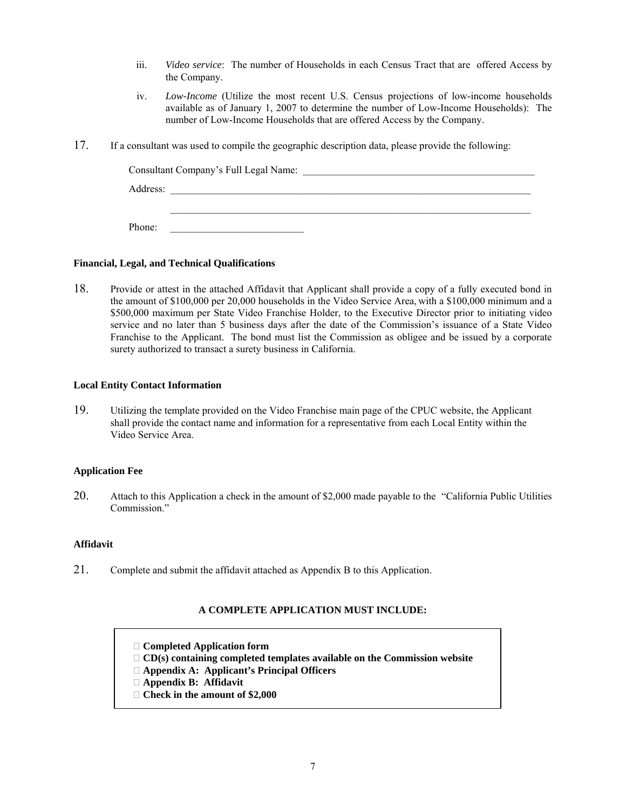- iii. *Video service*: The number of Households in each Census Tract that are offered Access by the Company.
- iv. *Low-Income* (Utilize the most recent U.S. Census projections of low-income households available as of January 1, 2007 to determine the number of Low-Income Households): The number of Low-Income Households that are offered Access by the Company.
- 17. If a consultant was used to compile the geographic description data, please provide the following:

| Consultant Company's Full Legal Name: |  |  |
|---------------------------------------|--|--|
| Address:                              |  |  |
|                                       |  |  |
| Phone:                                |  |  |

## **Financial, Legal, and Technical Qualifications**

18. Provide or attest in the attached Affidavit that Applicant shall provide a copy of a fully executed bond in the amount of \$100,000 per 20,000 households in the Video Service Area, with a \$100,000 minimum and a \$500,000 maximum per State Video Franchise Holder, to the Executive Director prior to initiating video service and no later than 5 business days after the date of the Commission's issuance of a State Video Franchise to the Applicant. The bond must list the Commission as obligee and be issued by a corporate surety authorized to transact a surety business in California.

## **Local Entity Contact Information**

19. Utilizing the template provided on the Video Franchise main page of the CPUC website, the Applicant shall provide the contact name and information for a representative from each Local Entity within the Video Service Area.

# **Application Fee**

20. Attach to this Application a check in the amount of \$2,000 made payable to the "California Public Utilities Commission<sup>"</sup>

#### **Affidavit**

21. Complete and submit the affidavit attached as Appendix B to this Application.

# **A COMPLETE APPLICATION MUST INCLUDE:**

- **Completed Application form**
- **CD(s) containing completed templates available on the Commission website**
- **Appendix A: Applicant's Principal Officers**
- **Appendix B: Affidavit**
- **Check in the amount of \$2,000**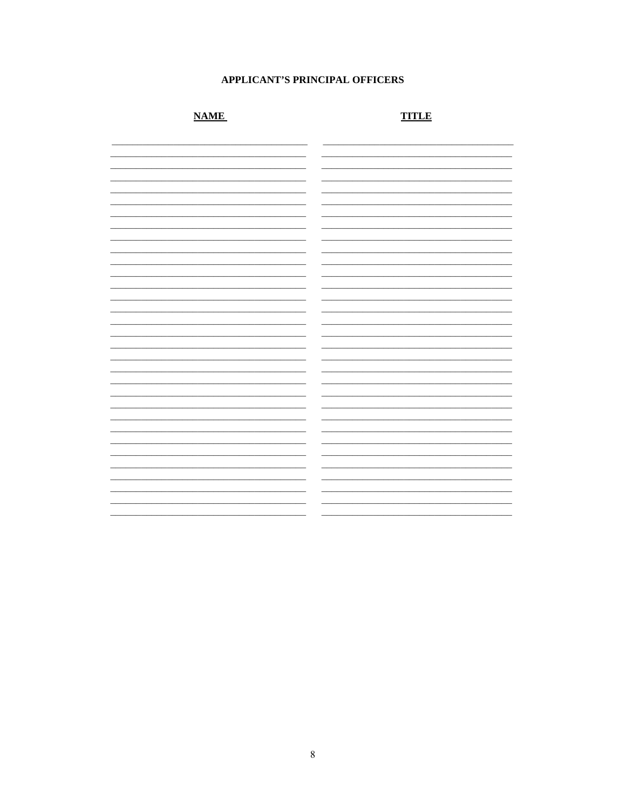# **APPLICANT'S PRINCIPAL OFFICERS**

# **NAME**

# **TITLE**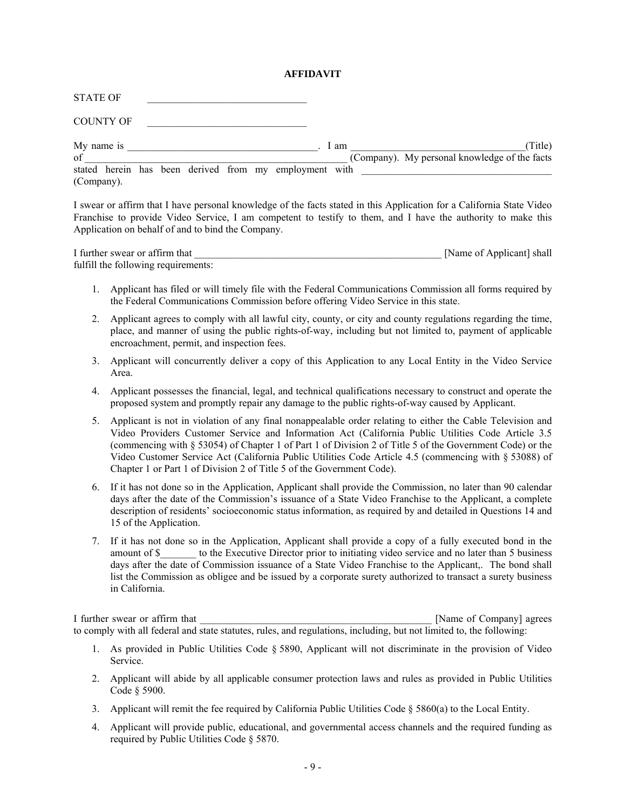#### **AFFIDAVIT**

| <b>STATE OF</b>                                                      |  |  |      |                                                          |
|----------------------------------------------------------------------|--|--|------|----------------------------------------------------------|
| <b>COUNTY OF</b>                                                     |  |  |      |                                                          |
| My name is<br>of                                                     |  |  | 1 am | (Title)<br>(Company). My personal knowledge of the facts |
| stated herein has been derived from my employment with<br>(Company). |  |  |      |                                                          |

I swear or affirm that I have personal knowledge of the facts stated in this Application for a California State Video Franchise to provide Video Service, I am competent to testify to them, and I have the authority to make this Application on behalf of and to bind the Company.

I further swear or affirm that  $\blacksquare$  [Name of Applicant] shall fulfill the following requirements:

- 1. Applicant has filed or will timely file with the Federal Communications Commission all forms required by the Federal Communications Commission before offering Video Service in this state.
- 2. Applicant agrees to comply with all lawful city, county, or city and county regulations regarding the time, place, and manner of using the public rights-of-way, including but not limited to, payment of applicable encroachment, permit, and inspection fees.
- 3. Applicant will concurrently deliver a copy of this Application to any Local Entity in the Video Service Area.
- 4. Applicant possesses the financial, legal, and technical qualifications necessary to construct and operate the proposed system and promptly repair any damage to the public rights-of-way caused by Applicant.
- 5. Applicant is not in violation of any final nonappealable order relating to either the Cable Television and Video Providers Customer Service and Information Act (California Public Utilities Code Article 3.5 (commencing with § 53054) of Chapter 1 of Part 1 of Division 2 of Title 5 of the Government Code) or the Video Customer Service Act (California Public Utilities Code Article 4.5 (commencing with § 53088) of Chapter 1 or Part 1 of Division 2 of Title 5 of the Government Code).
- 6. If it has not done so in the Application, Applicant shall provide the Commission, no later than 90 calendar days after the date of the Commission's issuance of a State Video Franchise to the Applicant, a complete description of residents' socioeconomic status information, as required by and detailed in Questions 14 and 15 of the Application.
- 7. If it has not done so in the Application, Applicant shall provide a copy of a fully executed bond in the amount of \$\_\_\_\_\_\_\_ to the Executive Director prior to initiating video service and no later than 5 business days after the date of Commission issuance of a State Video Franchise to the Applicant,. The bond shall list the Commission as obligee and be issued by a corporate surety authorized to transact a surety business in California.

I further swear or affirm that  $\Box$  [Name of Company] agrees to comply with all federal and state statutes, rules, and regulations, including, but not limited to, the following:

- 1. As provided in Public Utilities Code § 5890, Applicant will not discriminate in the provision of Video **Service**
- 2. Applicant will abide by all applicable consumer protection laws and rules as provided in Public Utilities Code § 5900.
- 3. Applicant will remit the fee required by California Public Utilities Code  $\S 5860(a)$  to the Local Entity.
- 4. Applicant will provide public, educational, and governmental access channels and the required funding as required by Public Utilities Code § 5870.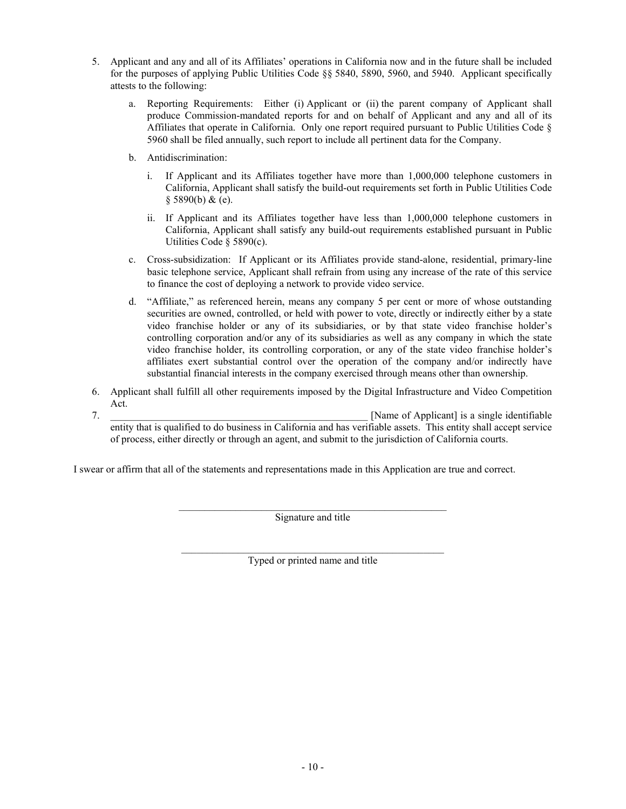- 5. Applicant and any and all of its Affiliates' operations in California now and in the future shall be included for the purposes of applying Public Utilities Code §§ 5840, 5890, 5960, and 5940. Applicant specifically attests to the following:
	- a. Reporting Requirements: Either (i) Applicant or (ii) the parent company of Applicant shall produce Commission-mandated reports for and on behalf of Applicant and any and all of its Affiliates that operate in California. Only one report required pursuant to Public Utilities Code § 5960 shall be filed annually, such report to include all pertinent data for the Company.
	- b. Antidiscrimination:
		- i. If Applicant and its Affiliates together have more than 1,000,000 telephone customers in California, Applicant shall satisfy the build-out requirements set forth in Public Utilities Code  $§$  5890(b) & (e).
		- ii. If Applicant and its Affiliates together have less than 1,000,000 telephone customers in California, Applicant shall satisfy any build-out requirements established pursuant in Public Utilities Code § 5890(c).
	- c. Cross-subsidization: If Applicant or its Affiliates provide stand-alone, residential, primary-line basic telephone service, Applicant shall refrain from using any increase of the rate of this service to finance the cost of deploying a network to provide video service.
	- d. "Affiliate," as referenced herein, means any company 5 per cent or more of whose outstanding securities are owned, controlled, or held with power to vote, directly or indirectly either by a state video franchise holder or any of its subsidiaries, or by that state video franchise holder's controlling corporation and/or any of its subsidiaries as well as any company in which the state video franchise holder, its controlling corporation, or any of the state video franchise holder's affiliates exert substantial control over the operation of the company and/or indirectly have substantial financial interests in the company exercised through means other than ownership.
- 6. Applicant shall fulfill all other requirements imposed by the Digital Infrastructure and Video Competition Act.
- 7. The same of Applicant is a single identifiable of Applicant is a single identifiable entity that is qualified to do business in California and has verifiable assets. This entity shall accept service of process, either directly or through an agent, and submit to the jurisdiction of California courts.

I swear or affirm that all of the statements and representations made in this Application are true and correct.

\_\_\_\_\_\_\_\_\_\_\_\_\_\_\_\_\_\_\_\_\_\_\_\_\_\_\_\_\_\_\_\_\_\_\_\_\_\_\_\_\_\_\_\_\_\_\_\_\_\_\_\_ Signature and title

 $\mathcal{L}_\text{max}$  , and the contract of the contract of the contract of the contract of the contract of the contract of the contract of the contract of the contract of the contract of the contract of the contract of the contr Typed or printed name and title